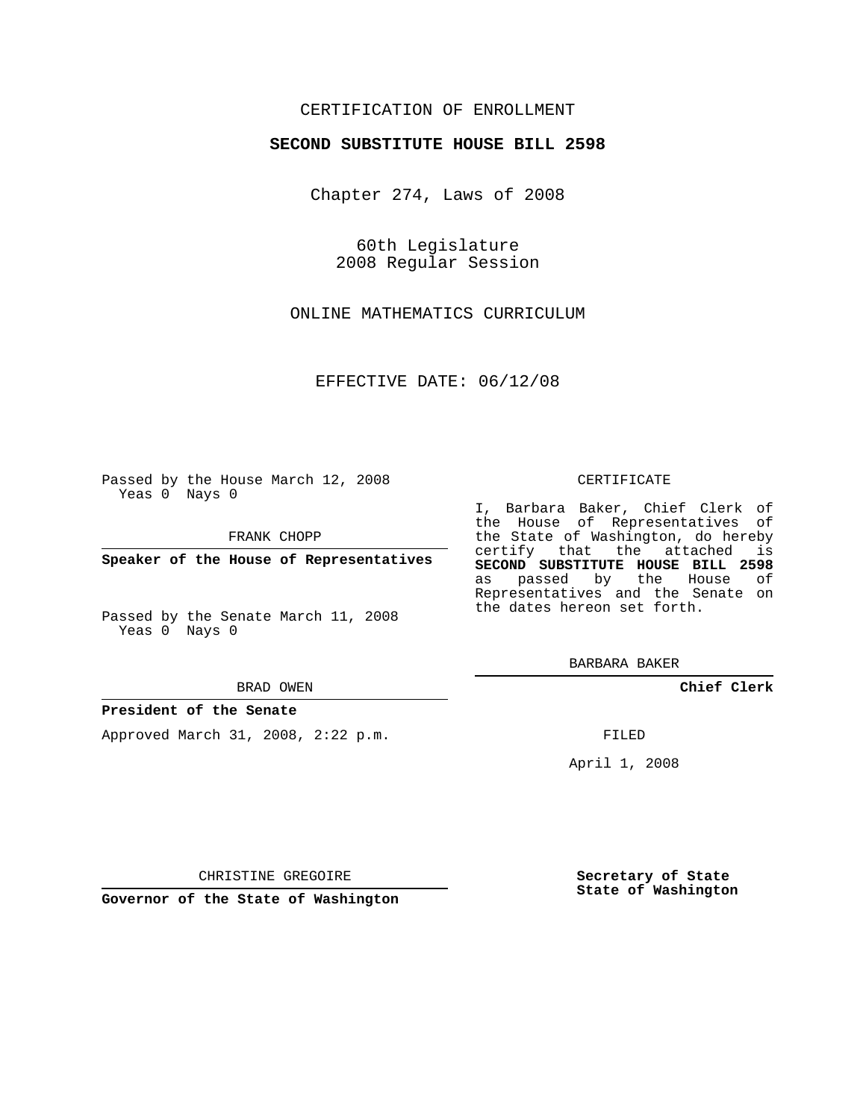# CERTIFICATION OF ENROLLMENT

### **SECOND SUBSTITUTE HOUSE BILL 2598**

Chapter 274, Laws of 2008

60th Legislature 2008 Regular Session

ONLINE MATHEMATICS CURRICULUM

EFFECTIVE DATE: 06/12/08

Passed by the House March 12, 2008 Yeas 0 Nays 0

FRANK CHOPP

**Speaker of the House of Representatives**

Passed by the Senate March 11, 2008 Yeas 0 Nays 0

BRAD OWEN

### **President of the Senate**

Approved March 31, 2008, 2:22 p.m.

#### CERTIFICATE

I, Barbara Baker, Chief Clerk of the House of Representatives of the State of Washington, do hereby certify that the attached is **SECOND SUBSTITUTE HOUSE BILL 2598** as passed by the House of Representatives and the Senate on the dates hereon set forth.

BARBARA BAKER

**Chief Clerk**

FILED

April 1, 2008

CHRISTINE GREGOIRE

**Governor of the State of Washington**

**Secretary of State State of Washington**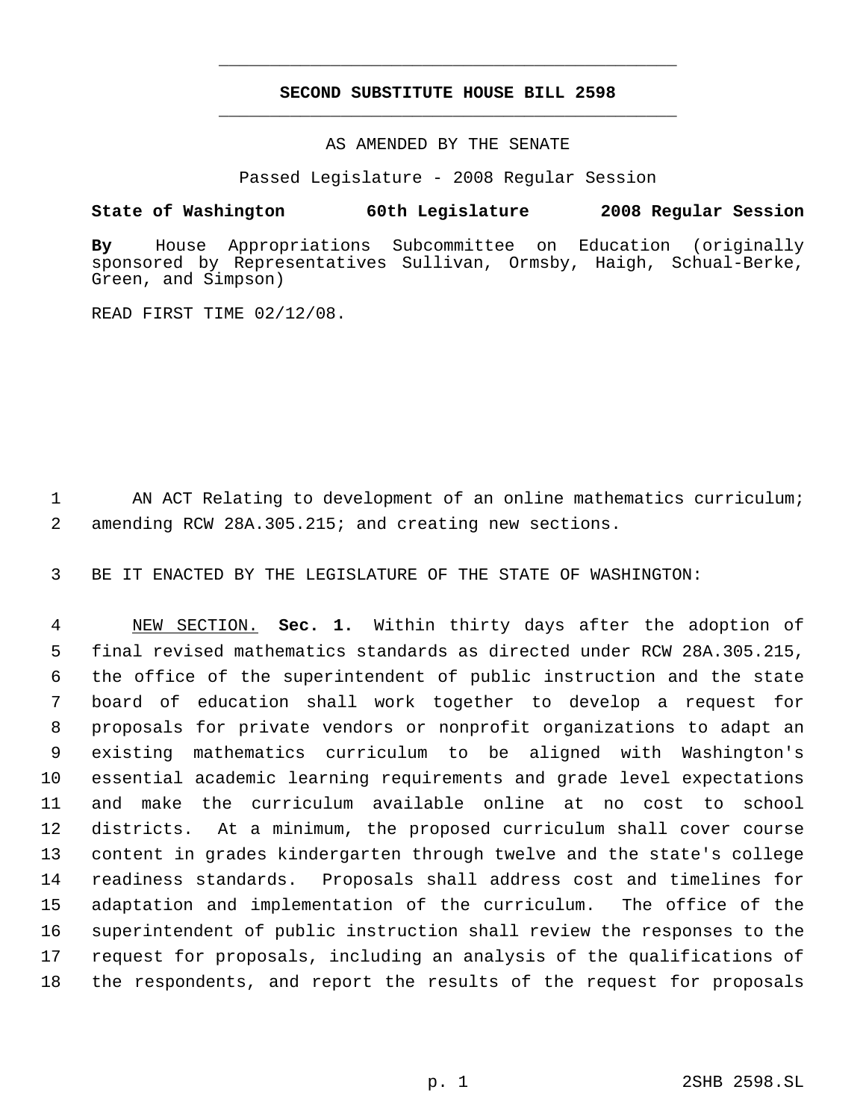# **SECOND SUBSTITUTE HOUSE BILL 2598** \_\_\_\_\_\_\_\_\_\_\_\_\_\_\_\_\_\_\_\_\_\_\_\_\_\_\_\_\_\_\_\_\_\_\_\_\_\_\_\_\_\_\_\_\_

\_\_\_\_\_\_\_\_\_\_\_\_\_\_\_\_\_\_\_\_\_\_\_\_\_\_\_\_\_\_\_\_\_\_\_\_\_\_\_\_\_\_\_\_\_

AS AMENDED BY THE SENATE

Passed Legislature - 2008 Regular Session

## **State of Washington 60th Legislature 2008 Regular Session**

**By** House Appropriations Subcommittee on Education (originally sponsored by Representatives Sullivan, Ormsby, Haigh, Schual-Berke, Green, and Simpson)

READ FIRST TIME 02/12/08.

1 AN ACT Relating to development of an online mathematics curriculum; 2 amending RCW 28A.305.215; and creating new sections.

3 BE IT ENACTED BY THE LEGISLATURE OF THE STATE OF WASHINGTON:

 NEW SECTION. **Sec. 1.** Within thirty days after the adoption of final revised mathematics standards as directed under RCW 28A.305.215, the office of the superintendent of public instruction and the state board of education shall work together to develop a request for proposals for private vendors or nonprofit organizations to adapt an existing mathematics curriculum to be aligned with Washington's essential academic learning requirements and grade level expectations and make the curriculum available online at no cost to school districts. At a minimum, the proposed curriculum shall cover course content in grades kindergarten through twelve and the state's college readiness standards. Proposals shall address cost and timelines for adaptation and implementation of the curriculum. The office of the superintendent of public instruction shall review the responses to the request for proposals, including an analysis of the qualifications of the respondents, and report the results of the request for proposals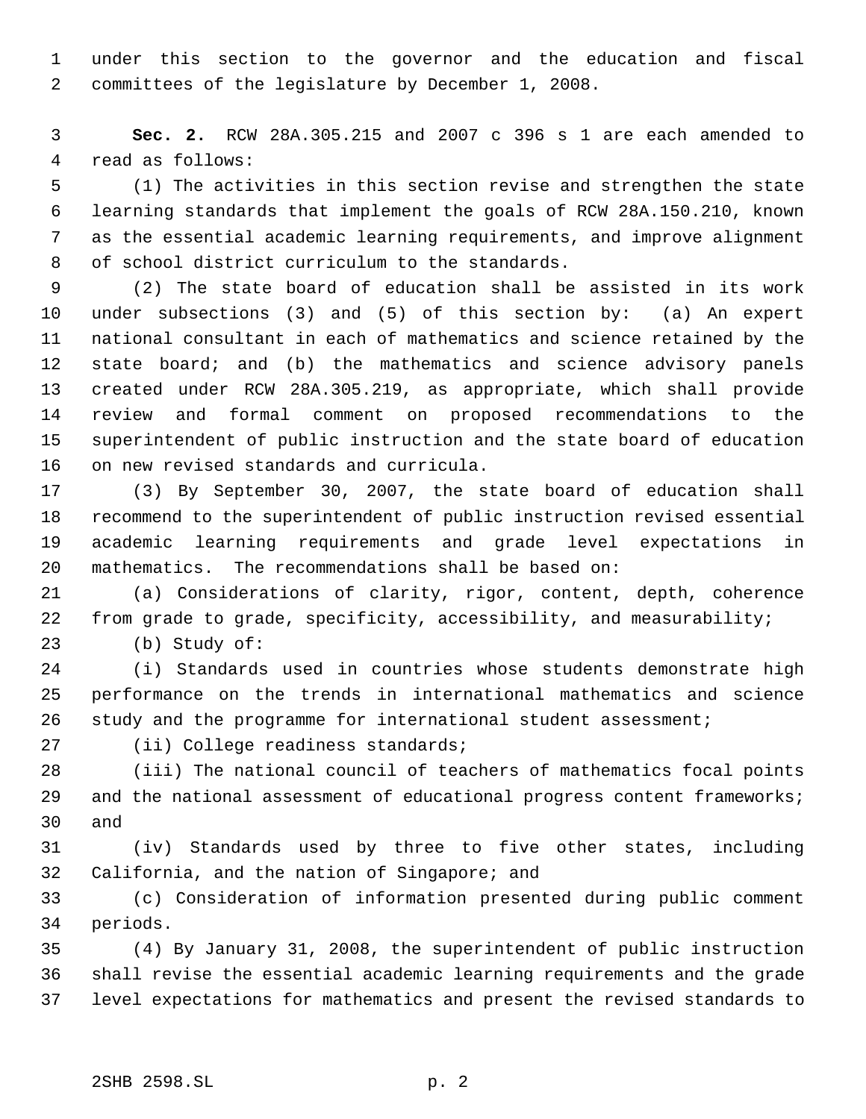under this section to the governor and the education and fiscal committees of the legislature by December 1, 2008.

 **Sec. 2.** RCW 28A.305.215 and 2007 c 396 s 1 are each amended to read as follows:

 (1) The activities in this section revise and strengthen the state learning standards that implement the goals of RCW 28A.150.210, known as the essential academic learning requirements, and improve alignment of school district curriculum to the standards.

 (2) The state board of education shall be assisted in its work under subsections (3) and (5) of this section by: (a) An expert national consultant in each of mathematics and science retained by the 12 state board; and (b) the mathematics and science advisory panels created under RCW 28A.305.219, as appropriate, which shall provide review and formal comment on proposed recommendations to the superintendent of public instruction and the state board of education on new revised standards and curricula.

 (3) By September 30, 2007, the state board of education shall recommend to the superintendent of public instruction revised essential academic learning requirements and grade level expectations in mathematics. The recommendations shall be based on:

 (a) Considerations of clarity, rigor, content, depth, coherence from grade to grade, specificity, accessibility, and measurability;

(b) Study of:

 (i) Standards used in countries whose students demonstrate high performance on the trends in international mathematics and science study and the programme for international student assessment;

27 (ii) College readiness standards;

 (iii) The national council of teachers of mathematics focal points 29 and the national assessment of educational progress content frameworks; and

 (iv) Standards used by three to five other states, including California, and the nation of Singapore; and

 (c) Consideration of information presented during public comment periods.

 (4) By January 31, 2008, the superintendent of public instruction shall revise the essential academic learning requirements and the grade level expectations for mathematics and present the revised standards to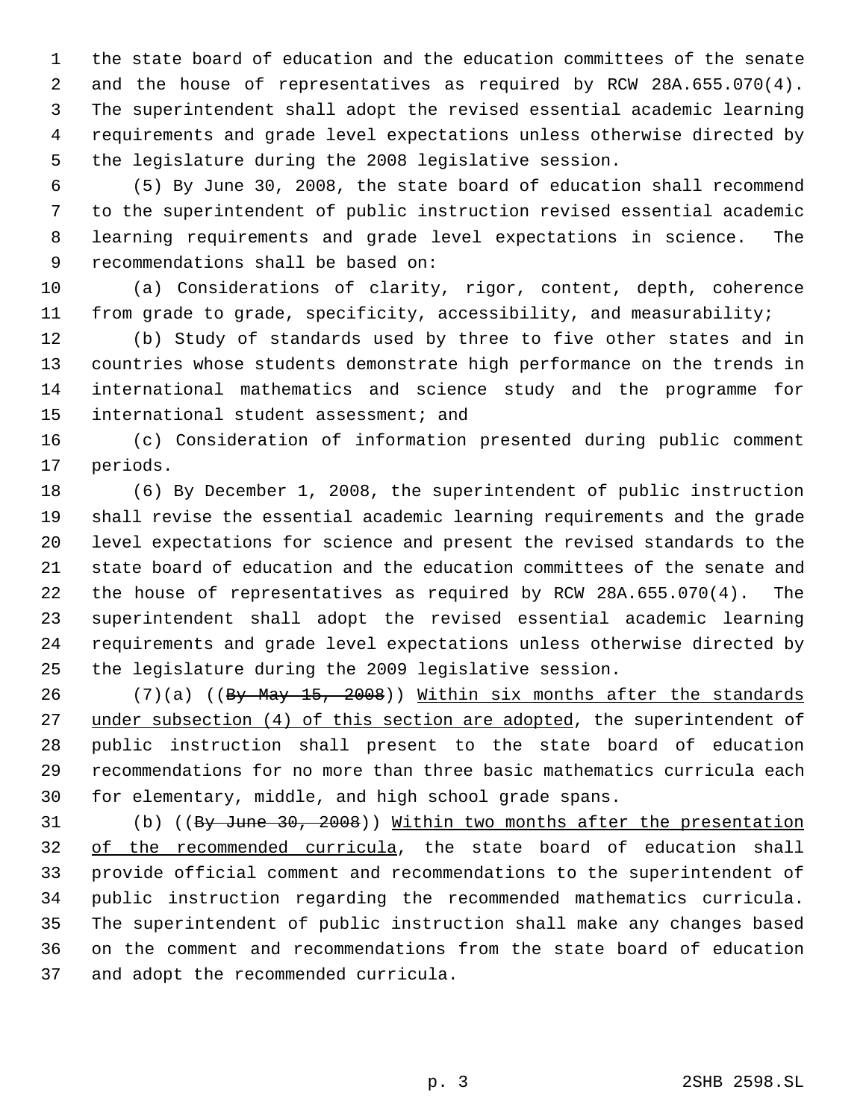the state board of education and the education committees of the senate and the house of representatives as required by RCW 28A.655.070(4). The superintendent shall adopt the revised essential academic learning requirements and grade level expectations unless otherwise directed by the legislature during the 2008 legislative session.

 (5) By June 30, 2008, the state board of education shall recommend to the superintendent of public instruction revised essential academic learning requirements and grade level expectations in science. The recommendations shall be based on:

 (a) Considerations of clarity, rigor, content, depth, coherence from grade to grade, specificity, accessibility, and measurability;

 (b) Study of standards used by three to five other states and in countries whose students demonstrate high performance on the trends in international mathematics and science study and the programme for international student assessment; and

 (c) Consideration of information presented during public comment periods.

 (6) By December 1, 2008, the superintendent of public instruction shall revise the essential academic learning requirements and the grade level expectations for science and present the revised standards to the state board of education and the education committees of the senate and the house of representatives as required by RCW 28A.655.070(4). The superintendent shall adopt the revised essential academic learning requirements and grade level expectations unless otherwise directed by the legislature during the 2009 legislative session.

26 (7)(a) ((By May 15, 2008)) Within six months after the standards 27 under subsection (4) of this section are adopted, the superintendent of public instruction shall present to the state board of education recommendations for no more than three basic mathematics curricula each for elementary, middle, and high school grade spans.

31 (b) ((By June 30, 2008)) Within two months after the presentation of the recommended curricula, the state board of education shall provide official comment and recommendations to the superintendent of public instruction regarding the recommended mathematics curricula. The superintendent of public instruction shall make any changes based on the comment and recommendations from the state board of education and adopt the recommended curricula.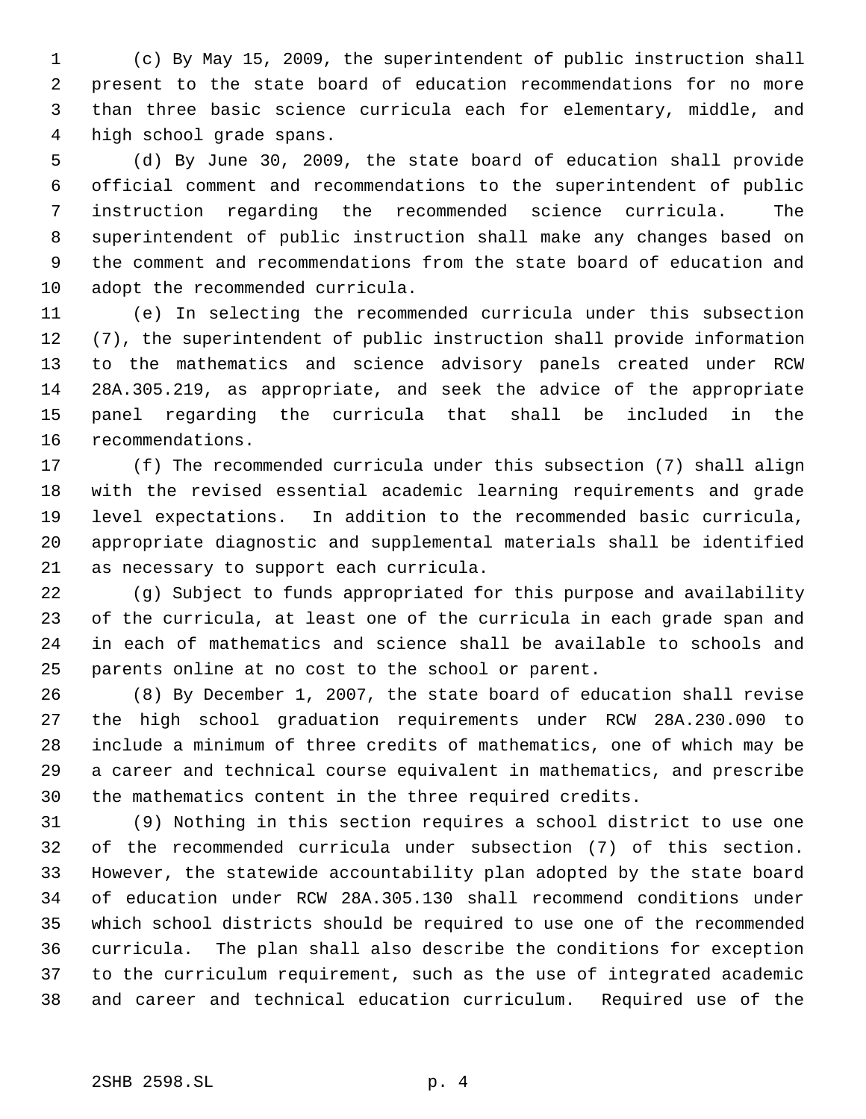(c) By May 15, 2009, the superintendent of public instruction shall present to the state board of education recommendations for no more than three basic science curricula each for elementary, middle, and high school grade spans.

 (d) By June 30, 2009, the state board of education shall provide official comment and recommendations to the superintendent of public instruction regarding the recommended science curricula. The superintendent of public instruction shall make any changes based on the comment and recommendations from the state board of education and adopt the recommended curricula.

 (e) In selecting the recommended curricula under this subsection (7), the superintendent of public instruction shall provide information to the mathematics and science advisory panels created under RCW 28A.305.219, as appropriate, and seek the advice of the appropriate panel regarding the curricula that shall be included in the recommendations.

 (f) The recommended curricula under this subsection (7) shall align with the revised essential academic learning requirements and grade level expectations. In addition to the recommended basic curricula, appropriate diagnostic and supplemental materials shall be identified as necessary to support each curricula.

 (g) Subject to funds appropriated for this purpose and availability of the curricula, at least one of the curricula in each grade span and in each of mathematics and science shall be available to schools and parents online at no cost to the school or parent.

 (8) By December 1, 2007, the state board of education shall revise the high school graduation requirements under RCW 28A.230.090 to include a minimum of three credits of mathematics, one of which may be a career and technical course equivalent in mathematics, and prescribe the mathematics content in the three required credits.

 (9) Nothing in this section requires a school district to use one of the recommended curricula under subsection (7) of this section. However, the statewide accountability plan adopted by the state board of education under RCW 28A.305.130 shall recommend conditions under which school districts should be required to use one of the recommended curricula. The plan shall also describe the conditions for exception to the curriculum requirement, such as the use of integrated academic and career and technical education curriculum. Required use of the